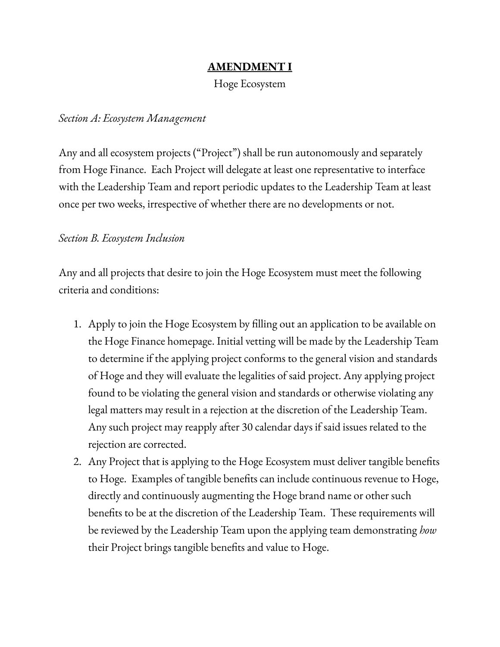# **AMENDMENT I**

Hoge Ecosystem

### *Section A: Ecosystem Management*

Any and all ecosystem projects ("Project") shall be run autonomously and separately from Hoge Finance. Each Project will delegate at least one representative to interface with the Leadership Team and report periodic updates to the Leadership Team at least once per two weeks, irrespective of whether there are no developments or not.

#### *Section B. Ecosystem Inclusion*

Any and all projects that desire to join the Hoge Ecosystem must meet the following criteria and conditions:

- 1. Apply to join the Hoge Ecosystem by filling out an application to be available on the Hoge Finance homepage. Initial vetting will be made by the Leadership Team to determine if the applying project conforms to the general vision and standards of Hoge and they will evaluate the legalities of said project. Any applying project found to be violating the general vision and standards or otherwise violating any legal matters may result in a rejection at the discretion of the Leadership Team. Any such project may reapply after 30 calendar days if said issues related to the rejection are corrected.
- 2. Any Project that is applying to the Hoge Ecosystem must deliver tangible benefits to Hoge. Examples of tangible benefits can include continuous revenue to Hoge, directly and continuously augmenting the Hoge brand name or other such benefits to be at the discretion of the Leadership Team. These requirements will be reviewed by the Leadership Team upon the applying team demonstrating *how* their Project brings tangible benefits and value to Hoge.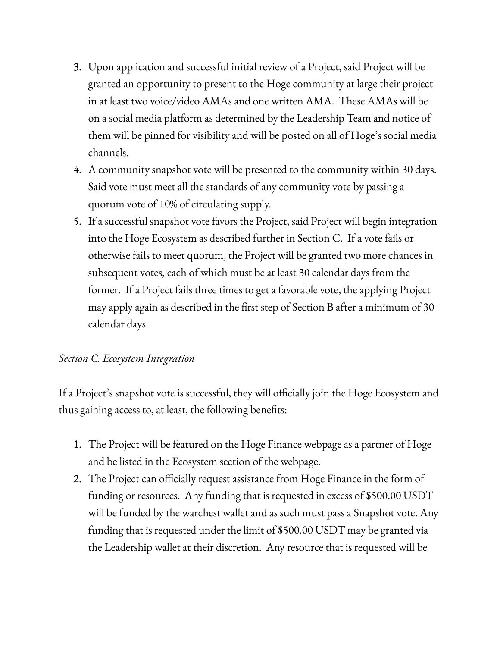- 3. Upon application and successful initial review of a Project, said Project will be granted an opportunity to present to the Hoge community at large their project in at least two voice/video AMAs and one written AMA. These AMAs will be on a social media platform as determined by the Leadership Team and notice of them will be pinned for visibility and will be posted on all of Hoge's social media channels.
- 4. A community snapshot vote will be presented to the community within 30 days. Said vote must meet all the standards of any community vote by passing a quorum vote of 10% of circulating supply.
- 5. If a successful snapshot vote favors the Project, said Project will begin integration into the Hoge Ecosystem as described further in Section C. If a vote fails or otherwise fails to meet quorum, the Project will be granted two more chances in subsequent votes, each of which must be at least 30 calendar days from the former. If a Project fails three times to get a favorable vote, the applying Project may apply again as described in the first step of Section B after a minimum of 30 calendar days.

## *Section C. Ecosystem Integration*

If a Project's snapshot vote is successful, they will officially join the Hoge Ecosystem and thus gaining access to, at least, the following benefits:

- 1. The Project will be featured on the Hoge Finance webpage as a partner of Hoge and be listed in the Ecosystem section of the webpage.
- 2. The Project can officially request assistance from Hoge Finance in the form of funding or resources. Any funding that is requested in excess of \$500.00 USDT will be funded by the warchest wallet and as such must pass a Snapshot vote. Any funding that is requested under the limit of \$500.00 USDT may be granted via the Leadership wallet at their discretion. Any resource that is requested will be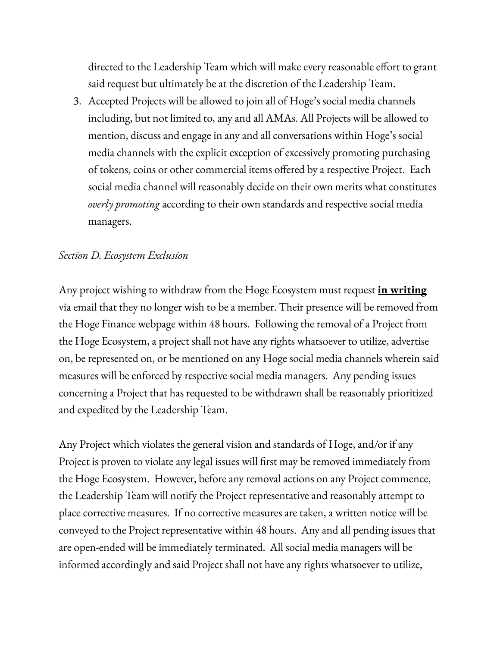directed to the Leadership Team which will make every reasonable effort to grant said request but ultimately be at the discretion of the Leadership Team.

3. Accepted Projects will be allowed to join all of Hoge's social media channels including, but not limited to, any and all AMAs. All Projects will be allowed to mention, discuss and engage in any and all conversations within Hoge's social media channels with the explicit exception of excessively promoting purchasing of tokens, coins or other commercial items offered by a respective Project. Each social media channel will reasonably decide on their own merits what constitutes *overly promoting* according to their own standards and respective social media managers.

#### *Section D. Ecosystem Exclusion*

Any project wishing to withdraw from the Hoge Ecosystem must request **in writing** via email that they no longer wish to be a member. Their presence will be removed from the Hoge Finance webpage within 48 hours. Following the removal of a Project from the Hoge Ecosystem, a project shall not have any rights whatsoever to utilize, advertise on, be represented on, or be mentioned on any Hoge social media channels wherein said measures will be enforced by respective social media managers. Any pending issues concerning a Project that has requested to be withdrawn shall be reasonably prioritized and expedited by the Leadership Team.

Any Project which violates the general vision and standards of Hoge, and/or if any Project is proven to violate any legal issues will first may be removed immediately from the Hoge Ecosystem. However, before any removal actions on any Project commence, the Leadership Team will notify the Project representative and reasonably attempt to place corrective measures. If no corrective measures are taken, a written notice will be conveyed to the Project representative within 48 hours. Any and all pending issues that are open-ended will be immediately terminated. All social media managers will be informed accordingly and said Project shall not have any rights whatsoever to utilize,